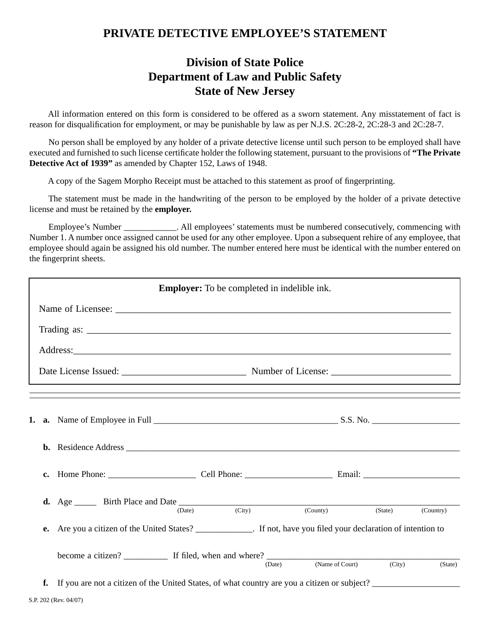## **PRIVATE DETECTIVE EMPLOYEE'S STATEMENT**

## **Division of State Police Department of Law and Public Safety State of New Jersey**

 All information entered on this form is considered to be offered as a sworn statement. Any misstatement of fact is reason for disqualification for employment, or may be punishable by law as per N.J.S.  $2C:28-2$ ,  $2C:28-3$  and  $2C:28-7$ .

 No person shall be employed by any holder of a private detective license until such person to be employed shall have executed and furnished to such license certificate holder the following statement, pursuant to the provisions of "The Private" **Detective Act of 1939"** as amended by Chapter 152, Laws of 1948.

A copy of the Sagem Morpho Receipt must be attached to this statement as proof of fingerprinting.

 The statement must be made in the handwriting of the person to be employed by the holder of a private detective license and must be retained by the **employer.**

 Employee's Number \_\_\_\_\_\_\_\_\_\_\_\_. All employees' statements must be numbered consecutively, commencing with Number 1. A number once assigned cannot be used for any other employee. Upon a subsequent rehire of any employee, that employee should again be assigned his old number. The number entered here must be identical with the number entered on the fingerprint sheets.

| <b>Employer:</b> To be completed in indelible ink.                                                                                                                                                                                                                                                                                                                                                       |                                                                                                                                                                                                                               |        |        |                           |           |  |  |
|----------------------------------------------------------------------------------------------------------------------------------------------------------------------------------------------------------------------------------------------------------------------------------------------------------------------------------------------------------------------------------------------------------|-------------------------------------------------------------------------------------------------------------------------------------------------------------------------------------------------------------------------------|--------|--------|---------------------------|-----------|--|--|
|                                                                                                                                                                                                                                                                                                                                                                                                          |                                                                                                                                                                                                                               |        |        |                           |           |  |  |
| Trading as: $\frac{1}{\sqrt{1-\frac{1}{2}}\sqrt{1-\frac{1}{2}}\sqrt{1-\frac{1}{2}}\sqrt{1-\frac{1}{2}}\sqrt{1-\frac{1}{2}}\sqrt{1-\frac{1}{2}}\sqrt{1-\frac{1}{2}}\sqrt{1-\frac{1}{2}}\sqrt{1-\frac{1}{2}}\sqrt{1-\frac{1}{2}}\sqrt{1-\frac{1}{2}}\sqrt{1-\frac{1}{2}}\sqrt{1-\frac{1}{2}}\sqrt{1-\frac{1}{2}}\sqrt{1-\frac{1}{2}}\sqrt{1-\frac{1}{2}}\sqrt{1-\frac{1}{2}}\sqrt{1-\frac{1}{2}}\sqrt{1-\$ |                                                                                                                                                                                                                               |        |        |                           |           |  |  |
|                                                                                                                                                                                                                                                                                                                                                                                                          |                                                                                                                                                                                                                               |        |        |                           |           |  |  |
|                                                                                                                                                                                                                                                                                                                                                                                                          |                                                                                                                                                                                                                               |        |        |                           |           |  |  |
|                                                                                                                                                                                                                                                                                                                                                                                                          |                                                                                                                                                                                                                               |        |        |                           |           |  |  |
|                                                                                                                                                                                                                                                                                                                                                                                                          |                                                                                                                                                                                                                               |        |        |                           |           |  |  |
|                                                                                                                                                                                                                                                                                                                                                                                                          |                                                                                                                                                                                                                               |        |        |                           |           |  |  |
|                                                                                                                                                                                                                                                                                                                                                                                                          | c. Home Phone: Cell Phone: Cell Phone: Email: Cenail: Cell Phone: Cell Phone: Cell Phone: Cell Phone: Cell Phone: Cell Phone: Cell Phone: Cell Phone: Cell Phone: Cell Phone: Cell Phone: Cell Phone: Cell Phone: Cell Phone: |        |        |                           |           |  |  |
|                                                                                                                                                                                                                                                                                                                                                                                                          |                                                                                                                                                                                                                               | (Date) | (City) | (Country)<br>(State)      | (Country) |  |  |
| e.                                                                                                                                                                                                                                                                                                                                                                                                       | Are you a citizen of the United States? ___________. If not, have you filed your declaration of intention to                                                                                                                  |        |        |                           |           |  |  |
|                                                                                                                                                                                                                                                                                                                                                                                                          |                                                                                                                                                                                                                               |        | (Date) | (Name of Court)<br>(City) | (State)   |  |  |
| f.                                                                                                                                                                                                                                                                                                                                                                                                       | If you are not a citizen of the United States, of what country are you a citizen or subject?                                                                                                                                  |        |        |                           |           |  |  |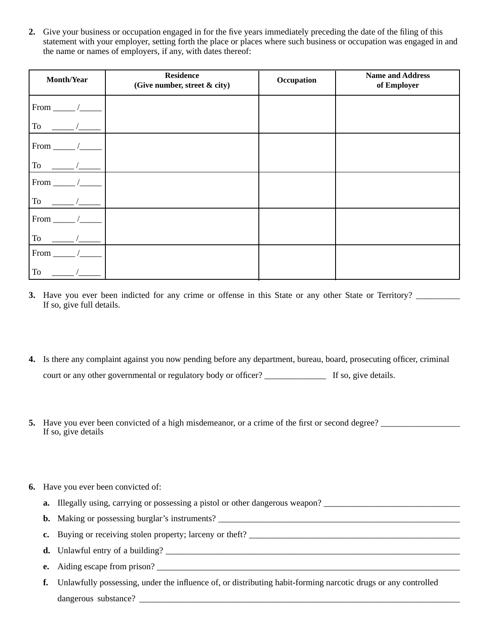**2.** Give your business or occupation engaged in for the five years immediately preceding the date of the filing of this statement with your employer, setting forth the place or places where such business or occupation was engaged in and the name or names of employers, if any, with dates thereof:

| Month/Year                    | <b>Residence</b><br>(Give number, street & city) | Occupation | <b>Name and Address</b><br>of Employer |
|-------------------------------|--------------------------------------------------|------------|----------------------------------------|
| From $\overline{\phantom{0}}$ |                                                  |            |                                        |
| ${\rm To}$                    |                                                  |            |                                        |
| From                          |                                                  |            |                                        |
| To                            |                                                  |            |                                        |
| From_                         |                                                  |            |                                        |
| To                            |                                                  |            |                                        |
| From                          |                                                  |            |                                        |
| To                            |                                                  |            |                                        |
| From                          |                                                  |            |                                        |
| To                            |                                                  |            |                                        |

- **3.** Have you ever been indicted for any crime or offense in this State or any other State or Territory? If so, give full details.
- **4.** Is there any complaint against you now pending before any department, bureau, board, prosecuting officer, criminal court or any other governmental or regulatory body or officer? \_\_\_\_\_\_\_\_\_\_\_\_\_\_\_\_\_ If so, give details.
- **5.** Have you ever been convicted of a high misdemeanor, or a crime of the first or second degree? If so, give details
- **6.** Have you ever been convicted of:
	- **a.** Illegally using, carrying or possessing a pistol or other dangerous weapon?
	- **b.** Making or possessing burglar's instruments?
	- **c.** Buying or receiving stolen property; larceny or theft? \_\_\_\_\_\_\_\_\_\_\_\_\_\_\_\_\_\_\_\_\_\_\_\_\_\_\_\_\_\_\_\_\_\_\_\_\_\_\_\_\_\_\_\_\_\_\_\_
	- **d.** Unlawful entry of a building?  $\frac{1}{2}$   $\frac{1}{2}$   $\frac{1}{2}$   $\frac{1}{2}$   $\frac{1}{2}$   $\frac{1}{2}$   $\frac{1}{2}$   $\frac{1}{2}$   $\frac{1}{2}$   $\frac{1}{2}$   $\frac{1}{2}$   $\frac{1}{2}$   $\frac{1}{2}$   $\frac{1}{2}$   $\frac{1}{2}$   $\frac{1}{2}$   $\frac{1}{2}$   $\frac{1}{2}$   $\frac{1}{$
	- **e.** Aiding escape from prison?
	- **f.** Unlawfully possessing, under the influence of, or distributing habit-forming narcotic drugs or any controlled dangerous substance?